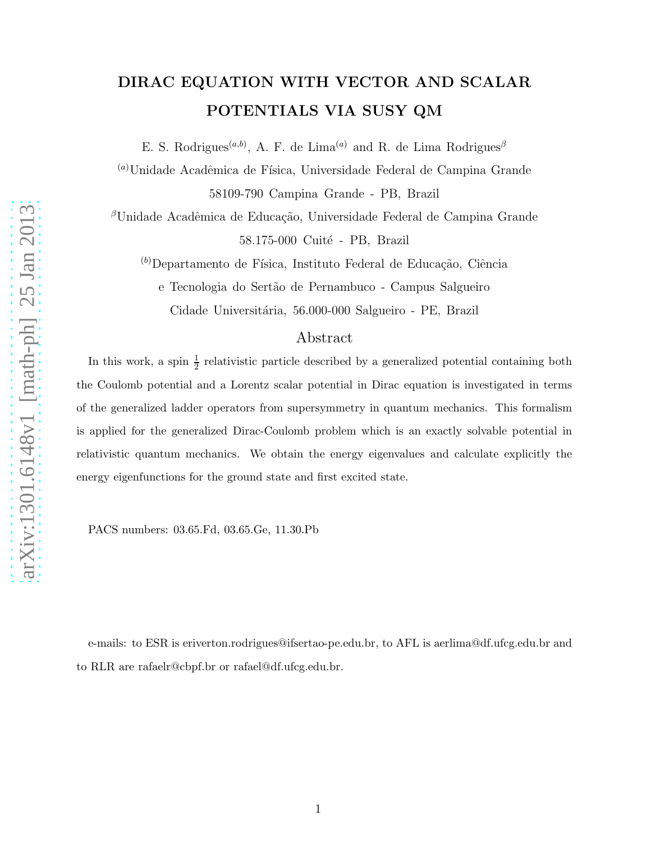# DIRAC EQUATION WITH VECTOR AND SCALAR POTENTIALS VIA SUSY QM

E. S. Rodrigues<sup>(a,b)</sup>, A. F. de Lima<sup>(a)</sup> and R. de Lima Rodrigues<sup>β</sup>

<sup>(a)</sup>Unidade Acadêmica de Física, Universidade Federal de Campina Grande 58109-790 Campina Grande - PB, Brazil

 $\beta$ Unidade Acadêmica de Educação, Universidade Federal de Campina Grande 58.175-000 Cuité - PB, Brazil

 $^{(b)}$ Departamento de Física, Instituto Federal de Educação, Ciência

e Tecnologia do Sertão de Pernambuco - Campus Salgueiro

Cidade Universitária, 56.000-000 Salgueiro - PE, Brazil

## Abstract

In this work, a spin  $\frac{1}{2}$  relativistic particle described by a generalized potential containing both the Coulomb potential and a Lorentz scalar potential in Dirac equation is investigated in terms of the generalized ladder operators from supersymmetry in quantum mechanics. This formalism is applied for the generalized Dirac-Coulomb problem which is an exactly solvable potential in relativistic quantum mechanics. We obtain the energy eigenvalues and calculate explicitly the energy eigenfunctions for the ground state and first excited state.

PACS numbers: 03.65.Fd, 03.65.Ge, 11.30.Pb

e-mails: to ESR is eriverton.rodrigues@ifsertao-pe.edu.br, to AFL is aerlima@df.ufcg.edu.br and to RLR are rafaelr@cbpf.br or rafael@df.ufcg.edu.br.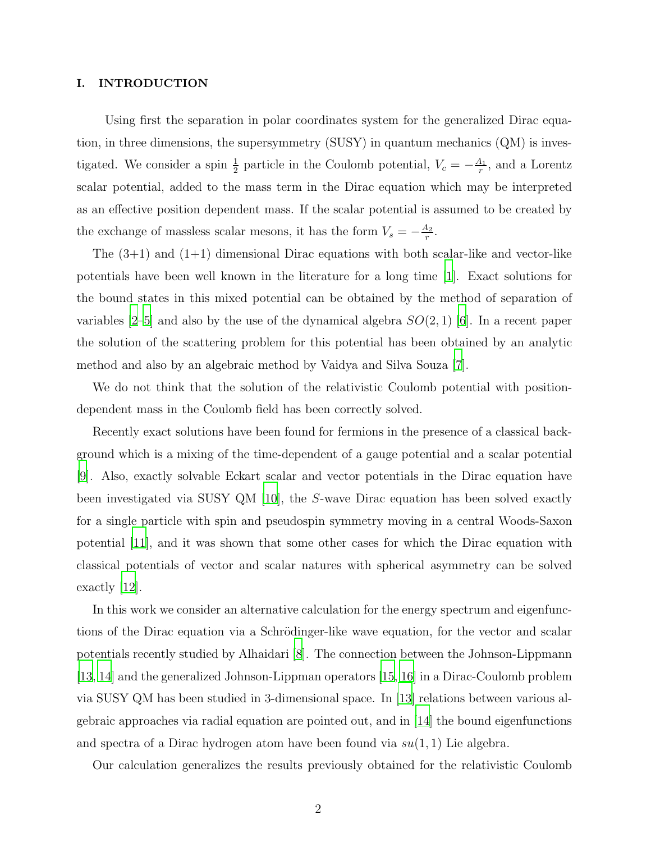### I. INTRODUCTION

Using first the separation in polar coordinates system for the generalized Dirac equation, in three dimensions, the supersymmetry (SUSY) in quantum mechanics (QM) is investigated. We consider a spin  $\frac{1}{2}$  particle in the Coulomb potential,  $V_c = -\frac{A_1}{r}$  $\frac{a_1}{r}$ , and a Lorentz scalar potential, added to the mass term in the Dirac equation which may be interpreted as an effective position dependent mass. If the scalar potential is assumed to be created by the exchange of massless scalar mesons, it has the form  $V_s = -\frac{A_2}{r}$  $\frac{42}{r}$ .

The  $(3+1)$  and  $(1+1)$  dimensional Dirac equations with both scalar-like and vector-like potentials have been well known in the literature for a long time [\[1\]](#page-12-0). Exact solutions for the bound states in this mixed potential can be obtained by the method of separation of variables  $[2-5]$  and also by the use of the dynamical algebra  $SO(2,1)$  [\[6](#page-12-3)]. In a recent paper the solution of the scattering problem for this potential has been obtained by an analytic method and also by an algebraic method by Vaidya and Silva Souza [\[7\]](#page-12-4).

We do not think that the solution of the relativistic Coulomb potential with positiondependent mass in the Coulomb field has been correctly solved.

Recently exact solutions have been found for fermions in the presence of a classical background which is a mixing of the time-dependent of a gauge potential and a scalar potential [\[9](#page-12-5)]. Also, exactly solvable Eckart scalar and vector potentials in the Dirac equation have been investigated via SUSY QM [\[10\]](#page-12-6), the S-wave Dirac equation has been solved exactly for a single particle with spin and pseudospin symmetry moving in a central Woods-Saxon potential [\[11](#page-12-7)], and it was shown that some other cases for which the Dirac equation with classical potentials of vector and scalar natures with spherical asymmetry can be solved exactly [\[12](#page-12-8)].

In this work we consider an alternative calculation for the energy spectrum and eigenfunctions of the Dirac equation via a Schrödinger-like wave equation, for the vector and scalar potentials recently studied by Alhaidari [\[8](#page-12-9)]. The connection between the Johnson-Lippmann [\[13,](#page-12-10) [14\]](#page-12-11) and the generalized Johnson-Lippman operators [\[15](#page-12-12), [16\]](#page-12-13) in a Dirac-Coulomb problem via SUSY QM has been studied in 3-dimensional space. In [\[13](#page-12-10)] relations between various algebraic approaches via radial equation are pointed out, and in [\[14](#page-12-11)] the bound eigenfunctions and spectra of a Dirac hydrogen atom have been found via  $su(1,1)$  Lie algebra.

Our calculation generalizes the results previously obtained for the relativistic Coulomb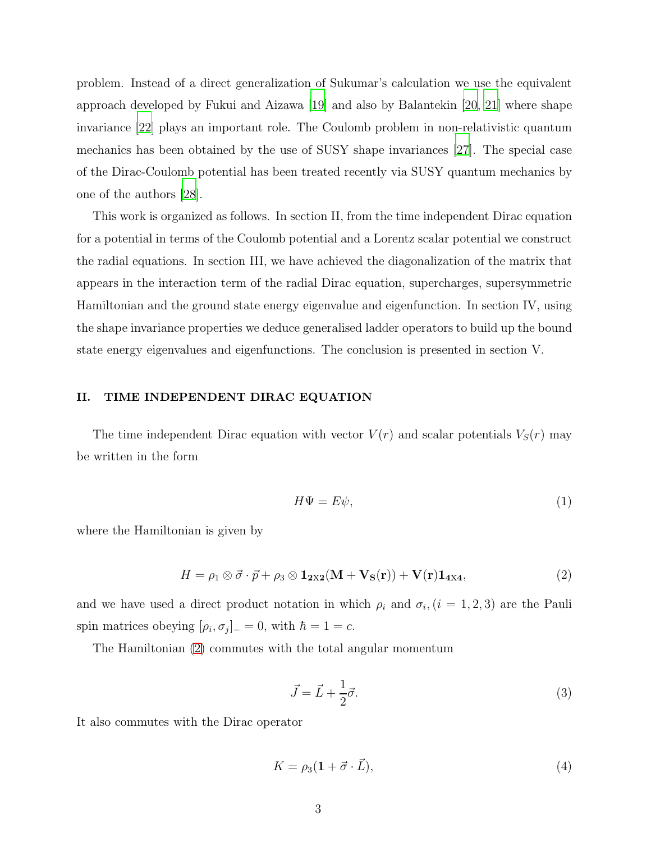problem. Instead of a direct generalization of Sukumar's calculation we use the equivalent approach developed by Fukui and Aizawa [\[19\]](#page-12-14) and also by Balantekin [\[20](#page-12-15), [21](#page-12-16)] where shape invariance [\[22](#page-13-0)] plays an important role. The Coulomb problem in non-relativistic quantum mechanics has been obtained by the use of SUSY shape invariances [\[27](#page-13-1)]. The special case of the Dirac-Coulomb potential has been treated recently via SUSY quantum mechanics by one of the authors [\[28](#page-13-2)].

This work is organized as follows. In section II, from the time independent Dirac equation for a potential in terms of the Coulomb potential and a Lorentz scalar potential we construct the radial equations. In section III, we have achieved the diagonalization of the matrix that appears in the interaction term of the radial Dirac equation, supercharges, supersymmetric Hamiltonian and the ground state energy eigenvalue and eigenfunction. In section IV, using the shape invariance properties we deduce generalised ladder operators to build up the bound state energy eigenvalues and eigenfunctions. The conclusion is presented in section V.

### II. TIME INDEPENDENT DIRAC EQUATION

The time independent Dirac equation with vector  $V(r)$  and scalar potentials  $V_S(r)$  may be written in the form

$$
H\Psi = E\psi,\tag{1}
$$

where the Hamiltonian is given by

<span id="page-2-0"></span>
$$
H = \rho_1 \otimes \vec{\sigma} \cdot \vec{p} + \rho_3 \otimes \mathbf{1}_{2X2} (\mathbf{M} + \mathbf{V}_S(\mathbf{r})) + \mathbf{V}(\mathbf{r}) \mathbf{1}_{4X4}, \tag{2}
$$

and we have used a direct product notation in which  $\rho_i$  and  $\sigma_i$ ,  $(i = 1, 2, 3)$  are the Pauli spin matrices obeying  $[\rho_i, \sigma_j]_+ = 0$ , with  $\hbar = 1 = c$ .

The Hamiltonian [\(2\)](#page-2-0) commutes with the total angular momentum

$$
\vec{J} = \vec{L} + \frac{1}{2}\vec{\sigma}.\tag{3}
$$

It also commutes with the Dirac operator

$$
K = \rho_3(\mathbf{1} + \vec{\sigma} \cdot \vec{L}),\tag{4}
$$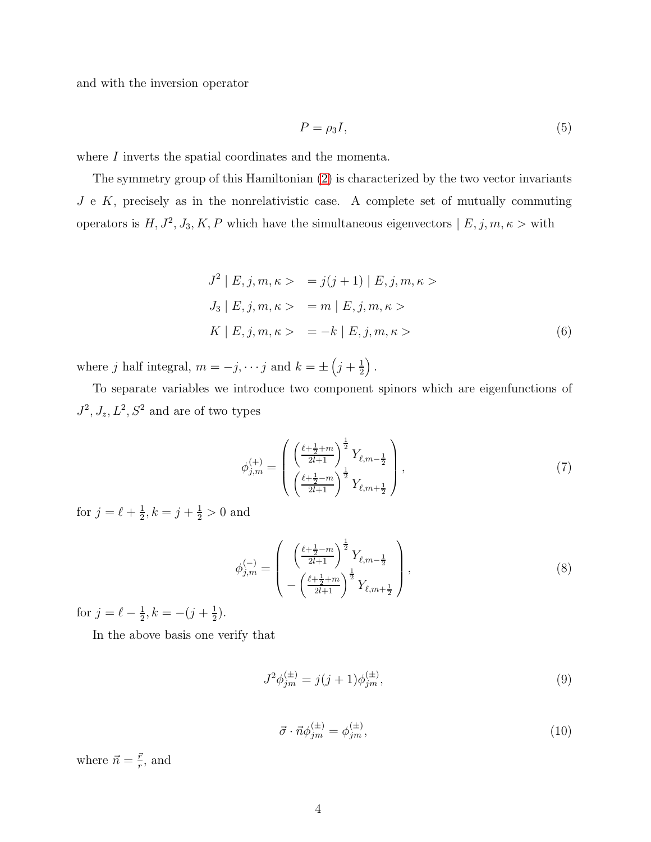and with the inversion operator

$$
P = \rho_3 I,\tag{5}
$$

where I inverts the spatial coordinates and the momenta.

The symmetry group of this Hamiltonian [\(2\)](#page-2-0) is characterized by the two vector invariants J e K, precisely as in the nonrelativistic case. A complete set of mutually commuting operators is  $H, J^2, J_3, K, P$  which have the simultaneous eigenvectors  $| E, j, m, \kappa \rangle$  with

$$
J^{2} | E, j, m, \kappa > = j(j+1) | E, j, m, \kappa >
$$
  
\n
$$
J_{3} | E, j, m, \kappa > = m | E, j, m, \kappa >
$$
  
\n
$$
K | E, j, m, \kappa > = -k | E, j, m, \kappa >
$$
  
\n(6)

where j half integral,  $m = -j, \dots j$  and  $k = \pm \left(j + \frac{1}{2}\right)$  $\frac{1}{2}$ .

To separate variables we introduce two component spinors which are eigenfunctions of  $J^2$ ,  $J_z$ ,  $L^2$ ,  $S^2$  and are of two types

$$
\phi_{j,m}^{(+)} = \begin{pmatrix} \left(\frac{\ell + \frac{1}{2} + m}{2l + 1}\right)^{\frac{1}{2}} Y_{\ell,m-\frac{1}{2}} \\ \left(\frac{\ell + \frac{1}{2} - m}{2l + 1}\right)^{\frac{1}{2}} Y_{\ell,m+\frac{1}{2}} \end{pmatrix},
$$
\n(7)

for  $j = \ell + \frac{1}{2}$  $\frac{1}{2}$ ,  $k = j + \frac{1}{2} > 0$  and

$$
\phi_{j,m}^{(-)} = \begin{pmatrix} \left(\frac{\ell + \frac{1}{2} - m}{2l + 1}\right)^{\frac{1}{2}} Y_{\ell,m-\frac{1}{2}} \\ - \left(\frac{\ell + \frac{1}{2} + m}{2l + 1}\right)^{\frac{1}{2}} Y_{\ell,m+\frac{1}{2}} \end{pmatrix},
$$
\n(8)

for  $j = \ell - \frac{1}{2}$  $\frac{1}{2}$ ,  $k = -(j + \frac{1}{2})$  $(\frac{1}{2})$ .

In the above basis one verify that

$$
J^2 \phi_{jm}^{(\pm)} = j(j+1)\phi_{jm}^{(\pm)},\tag{9}
$$

<span id="page-3-0"></span>
$$
\vec{\sigma} \cdot \vec{n} \phi_{jm}^{(\pm)} = \phi_{jm}^{(\pm)},\tag{10}
$$

where  $\vec{n} = \frac{\vec{r}}{r}$  $\frac{\vec{r}}{r}$ , and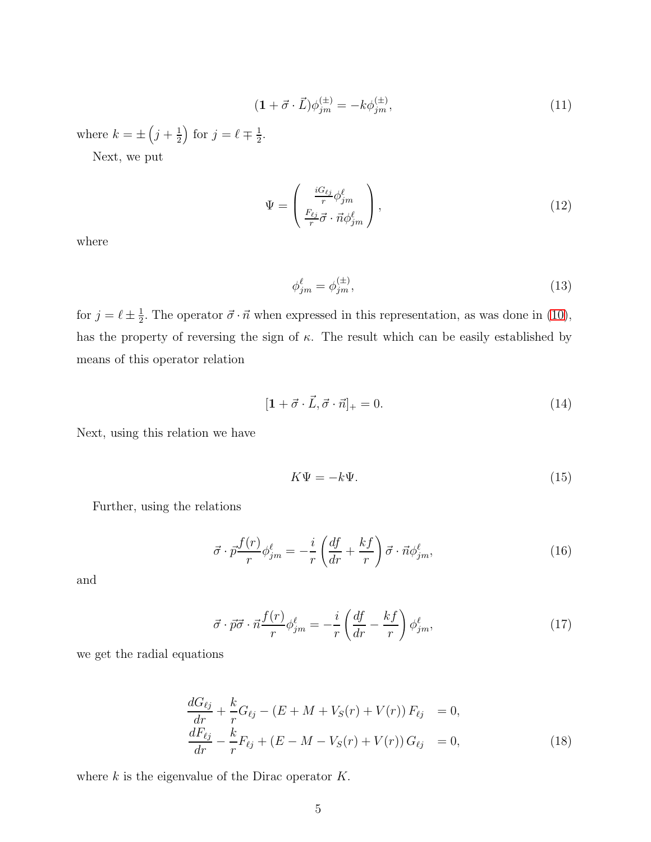$$
(1 + \vec{\sigma} \cdot \vec{L})\phi_{jm}^{(\pm)} = -k\phi_{jm}^{(\pm)},\tag{11}
$$

where  $k = \pm \left(j + \frac{1}{2}\right)$  $(\frac{1}{2})$  for  $j = \ell \mp \frac{1}{2}$  $\frac{1}{2}$ .

Next, we put

$$
\Psi = \begin{pmatrix} \frac{iG_{\ell j}}{r} \phi_{jm}^{\ell} \\ \frac{F_{\ell j}}{r} \vec{\sigma} \cdot \vec{n} \phi_{jm}^{\ell} \end{pmatrix},
$$
\n(12)

where

$$
\phi_{jm}^{\ell} = \phi_{jm}^{(\pm)},\tag{13}
$$

for  $j = \ell \pm \frac{1}{2}$  $\frac{1}{2}$ . The operator  $\vec{\sigma} \cdot \vec{n}$  when expressed in this representation, as was done in [\(10\)](#page-3-0), has the property of reversing the sign of  $\kappa$ . The result which can be easily established by means of this operator relation

$$
[\mathbf{1} + \vec{\sigma} \cdot \vec{L}, \vec{\sigma} \cdot \vec{n}]_+ = 0. \tag{14}
$$

Next, using this relation we have

$$
K\Psi = -k\Psi.
$$
\n<sup>(15)</sup>

Further, using the relations

$$
\vec{\sigma} \cdot \vec{p} \frac{f(r)}{r} \phi_{jm}^{\ell} = -\frac{i}{r} \left( \frac{df}{dr} + \frac{kf}{r} \right) \vec{\sigma} \cdot \vec{n} \phi_{jm}^{\ell},\tag{16}
$$

and

$$
\vec{\sigma} \cdot \vec{p} \vec{\sigma} \cdot \vec{n} \frac{f(r)}{r} \phi_{jm}^{\ell} = -\frac{i}{r} \left( \frac{df}{dr} - \frac{kf}{r} \right) \phi_{jm}^{\ell},\tag{17}
$$

we get the radial equations

$$
\frac{dG_{\ell j}}{dr} + \frac{k}{r} G_{\ell j} - (E + M + V_S(r) + V(r)) F_{\ell j} = 0,\n\frac{dF_{\ell j}}{dr} - \frac{k}{r} F_{\ell j} + (E - M - V_S(r) + V(r)) G_{\ell j} = 0,
$$
\n(18)

where  $k$  is the eigenvalue of the Dirac operator  $K$ .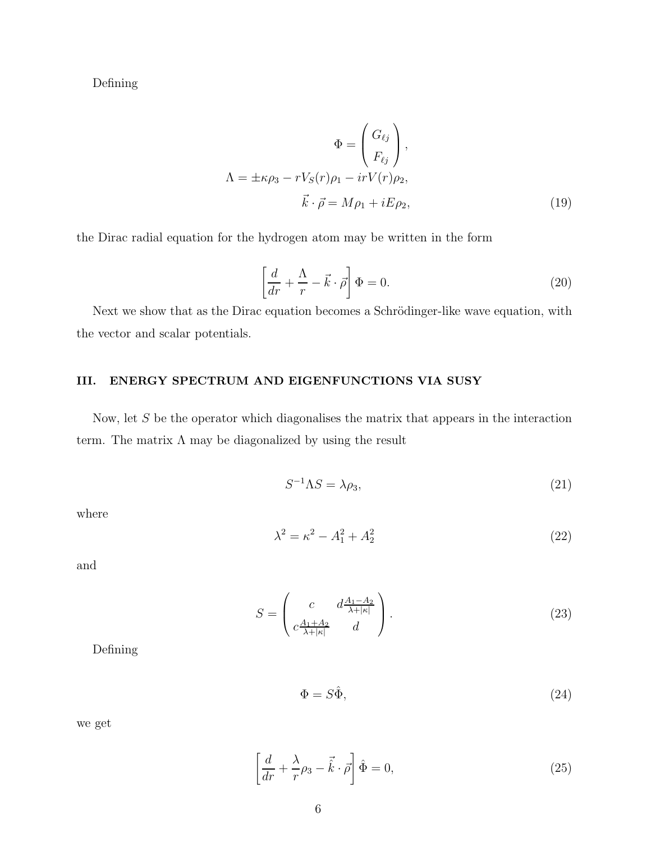Defining

$$
\Phi = \begin{pmatrix} G_{\ell j} \\ F_{\ell j} \end{pmatrix},
$$
  
\n
$$
\Lambda = \pm \kappa \rho_3 - rV_S(r)\rho_1 - irV(r)\rho_2,
$$
  
\n
$$
\vec{k} \cdot \vec{\rho} = M\rho_1 + iE\rho_2,
$$
\n(19)

the Dirac radial equation for the hydrogen atom may be written in the form

$$
\left[\frac{d}{dr} + \frac{\Lambda}{r} - \vec{k} \cdot \vec{\rho}\right] \Phi = 0.
$$
\n(20)

Next we show that as the Dirac equation becomes a Schrödinger-like wave equation, with the vector and scalar potentials.

# III. ENERGY SPECTRUM AND EIGENFUNCTIONS VIA SUSY

Now, let  $S$  be the operator which diagonalises the matrix that appears in the interaction term. The matrix  $\Lambda$  may be diagonalized by using the result

$$
S^{-1}\Lambda S = \lambda \rho_3,\tag{21}
$$

where

$$
\lambda^2 = \kappa^2 - A_1^2 + A_2^2 \tag{22}
$$

and

$$
S = \begin{pmatrix} c & d\frac{A_1 - A_2}{\lambda + |\kappa|} \\ c\frac{A_1 + A_2}{\lambda + |\kappa|} & d \end{pmatrix}.
$$
 (23)

Defining

$$
\Phi = S\hat{\Phi},\tag{24}
$$

we get

<span id="page-5-0"></span>
$$
\left[\frac{d}{dr} + \frac{\lambda}{r}\rho_3 - \vec{k} \cdot \vec{\rho}\right] \hat{\Phi} = 0,
$$
\n(25)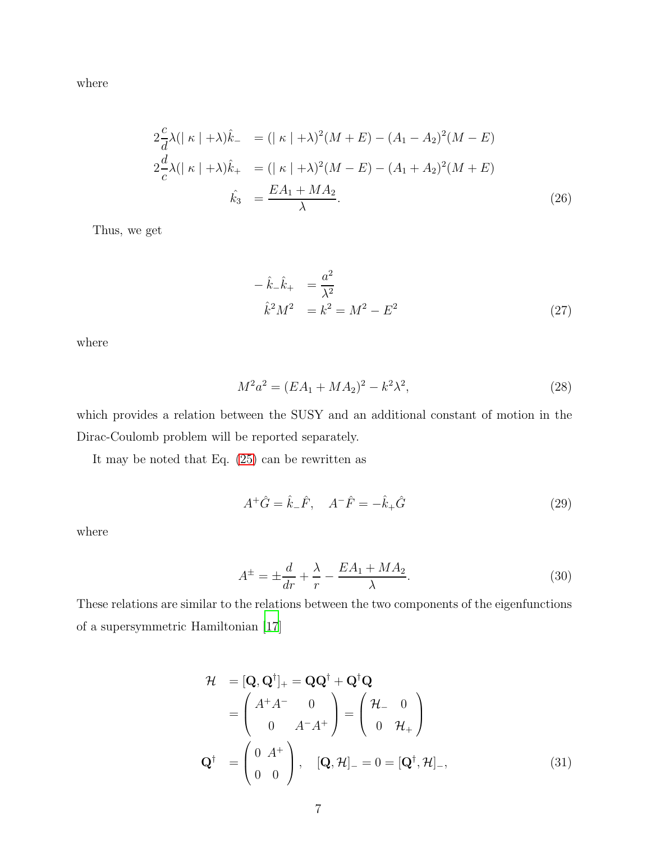where

$$
2\frac{c}{d}\lambda(|\kappa|+\lambda)\hat{k}_{-} = (|\kappa|+\lambda)^{2}(M+E) - (A_{1} - A_{2})^{2}(M-E)
$$
  
\n
$$
2\frac{d}{c}\lambda(|\kappa|+\lambda)\hat{k}_{+} = (|\kappa|+\lambda)^{2}(M-E) - (A_{1} + A_{2})^{2}(M+E)
$$
  
\n
$$
\hat{k}_{3} = \frac{EA_{1} + MA_{2}}{\lambda}.
$$
\n(26)

Thus, we get

<span id="page-6-1"></span>
$$
-\hat{k}_{-}\hat{k}_{+} = \frac{a^{2}}{\lambda^{2}}
$$
  

$$
\hat{k}^{2}M^{2} = k^{2} = M^{2} - E^{2}
$$
 (27)

where

<span id="page-6-2"></span>
$$
M^2 a^2 = (EA_1 + MA_2)^2 - k^2 \lambda^2,
$$
\n(28)

which provides a relation between the SUSY and an additional constant of motion in the Dirac-Coulomb problem will be reported separately.

It may be noted that Eq. [\(25\)](#page-5-0) can be rewritten as

<span id="page-6-0"></span>
$$
A^{+}\hat{G} = \hat{k}_{-}\hat{F}, \quad A^{-}\hat{F} = -\hat{k}_{+}\hat{G}
$$
 (29)

where

<span id="page-6-3"></span>
$$
A^{\pm} = \pm \frac{d}{dr} + \frac{\lambda}{r} - \frac{EA_1 + MA_2}{\lambda}.
$$
 (30)

These relations are similar to the relations between the two components of the eigenfunctions of a supersymmetric Hamiltonian [\[17](#page-12-17)]

$$
\mathcal{H} = [\mathbf{Q}, \mathbf{Q}^{\dagger}]_{+} = \mathbf{Q}\mathbf{Q}^{\dagger} + \mathbf{Q}^{\dagger}\mathbf{Q}
$$
\n
$$
= \begin{pmatrix} A^{+}A^{-} & 0 \\ 0 & A^{-}A^{+} \end{pmatrix} = \begin{pmatrix} \mathcal{H}_{-} & 0 \\ 0 & \mathcal{H}_{+} \end{pmatrix}
$$
\n
$$
\mathbf{Q}^{\dagger} = \begin{pmatrix} 0 & A^{+} \\ 0 & 0 \end{pmatrix}, \quad [\mathbf{Q}, \mathcal{H}]_{-} = 0 = [\mathbf{Q}^{\dagger}, \mathcal{H}]_{-}, \tag{31}
$$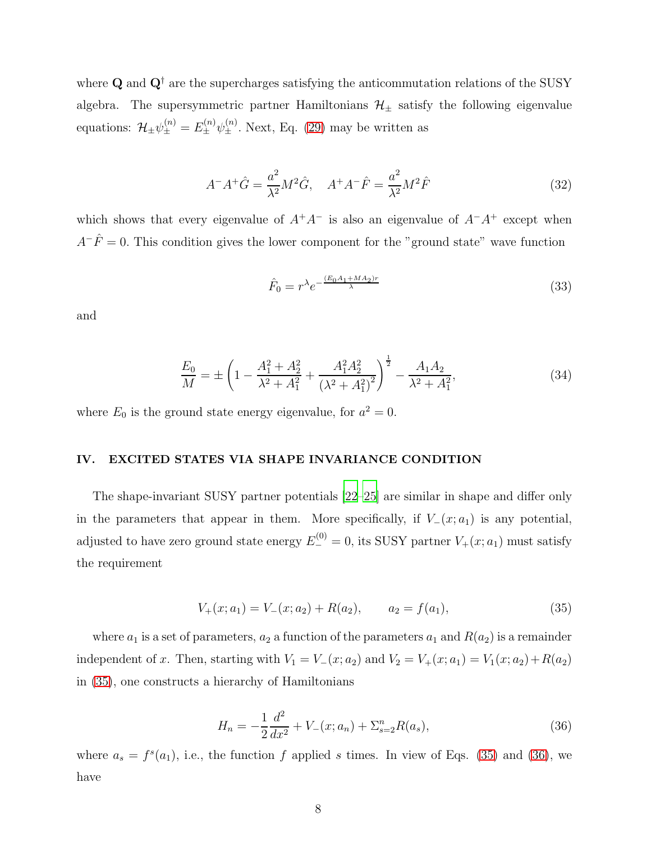where  $Q$  and  $Q^{\dagger}$  are the supercharges satisfying the anticommutation relations of the SUSY algebra. The supersymmetric partner Hamiltonians  $\mathcal{H}_{\pm}$  satisfy the following eigenvalue equations:  $\mathcal{H}_{\pm}\psi_{\pm}^{(n)}=E_{\pm}^{(n)}\psi_{\pm}^{(n)}$ . Next, Eq. [\(29\)](#page-6-0) may be written as

<span id="page-7-2"></span>
$$
A^{-}A^{+}\hat{G} = \frac{a^{2}}{\lambda^{2}}M^{2}\hat{G}, \quad A^{+}A^{-}\hat{F} = \frac{a^{2}}{\lambda^{2}}M^{2}\hat{F}
$$
 (32)

which shows that every eigenvalue of  $A^+A^-$  is also an eigenvalue of  $A^-A^+$  except when  $A^-\hat{F}=0$ . This condition gives the lower component for the "ground state" wave function

<span id="page-7-3"></span>
$$
\hat{F}_0 = r^{\lambda} e^{-\frac{(E_0 A_1 + M A_2)r}{\lambda}}
$$
\n(33)

and

$$
\frac{E_0}{M} = \pm \left( 1 - \frac{A_1^2 + A_2^2}{\lambda^2 + A_1^2} + \frac{A_1^2 A_2^2}{\left( \lambda^2 + A_1^2 \right)^2} \right)^{\frac{1}{2}} - \frac{A_1 A_2}{\lambda^2 + A_1^2},\tag{34}
$$

where  $E_0$  is the ground state energy eigenvalue, for  $a^2 = 0$ .

## IV. EXCITED STATES VIA SHAPE INVARIANCE CONDITION

The shape-invariant SUSY partner potentials [\[22](#page-13-0)[–25\]](#page-13-3) are similar in shape and differ only in the parameters that appear in them. More specifically, if  $V_-(x; a_1)$  is any potential, adjusted to have zero ground state energy  $E_{-}^{(0)} = 0$ , its SUSY partner  $V_{+}(x; a_1)$  must satisfy the requirement

<span id="page-7-0"></span>
$$
V_{+}(x; a_{1}) = V_{-}(x; a_{2}) + R(a_{2}), \qquad a_{2} = f(a_{1}), \tag{35}
$$

where  $a_1$  is a set of parameters,  $a_2$  a function of the parameters  $a_1$  and  $R(a_2)$  is a remainder independent of x. Then, starting with  $V_1 = V_-(x; a_2)$  and  $V_2 = V_+(x; a_1) = V_1(x; a_2) + R(a_2)$ in [\(35\)](#page-7-0), one constructs a hierarchy of Hamiltonians

<span id="page-7-1"></span>
$$
H_n = -\frac{1}{2}\frac{d^2}{dx^2} + V_-(x; a_n) + \Sigma_{s=2}^n R(a_s),\tag{36}
$$

where  $a_s = f^s(a_1)$ , i.e., the function f applied s times. In view of Eqs. [\(35\)](#page-7-0) and [\(36\)](#page-7-1), we have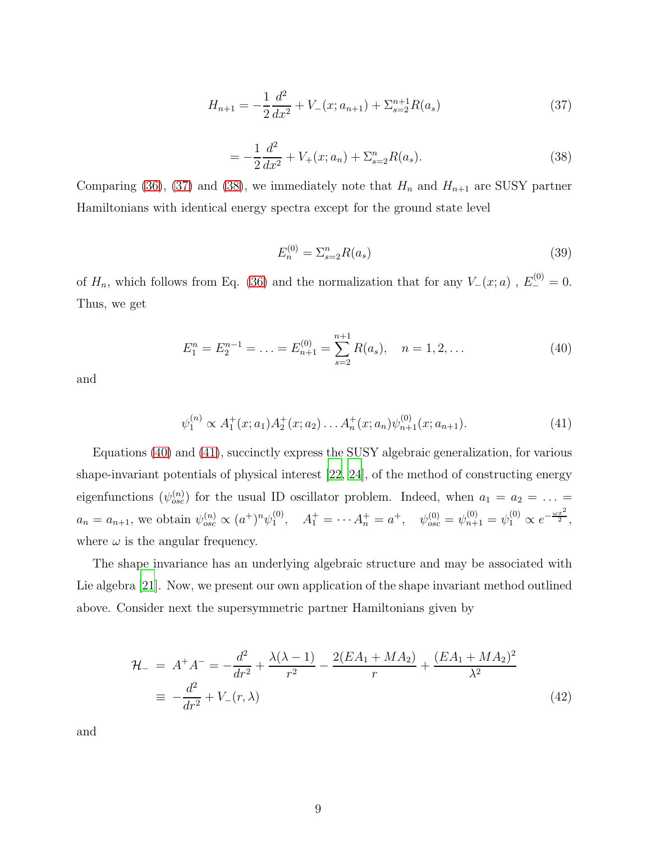<span id="page-8-0"></span>
$$
H_{n+1} = -\frac{1}{2}\frac{d^2}{dx^2} + V_{-}(x; a_{n+1}) + \sum_{s=2}^{n+1} R(a_s)
$$
\n(37)

<span id="page-8-1"></span>
$$
= -\frac{1}{2}\frac{d^2}{dx^2} + V_+(x; a_n) + \Sigma_{s=2}^n R(a_s).
$$
 (38)

Comparing [\(36\)](#page-7-1), [\(37\)](#page-8-0) and [\(38\)](#page-8-1), we immediately note that  $H_n$  and  $H_{n+1}$  are SUSY partner Hamiltonians with identical energy spectra except for the ground state level

$$
E_n^{(0)} = \sum_{s=2}^n R(a_s) \tag{39}
$$

of  $H_n$ , which follows from Eq. [\(36\)](#page-7-1) and the normalization that for any  $V_-(x; a)$ ,  $E_-^{(0)} = 0$ . Thus, we get

<span id="page-8-2"></span>
$$
E_1^n = E_2^{n-1} = \dots = E_{n+1}^{(0)} = \sum_{s=2}^{n+1} R(a_s), \quad n = 1, 2, \dots
$$
 (40)

and

<span id="page-8-3"></span>
$$
\psi_1^{(n)} \propto A_1^+(x; a_1) A_2^+(x; a_2) \dots A_n^+(x; a_n) \psi_{n+1}^{(0)}(x; a_{n+1}). \tag{41}
$$

Equations [\(40\)](#page-8-2) and [\(41\)](#page-8-3), succinctly express the SUSY algebraic generalization, for various shape-invariant potentials of physical interest [\[22](#page-13-0), [24\]](#page-13-4), of the method of constructing energy eigenfunctions  $(\psi_{osc}^{(n)})$  for the usual ID oscillator problem. Indeed, when  $a_1 = a_2 = \ldots =$  $a_n = a_{n+1}$ , we obtain  $\psi_{osc}^{(n)} \propto (a^+)^n \psi_1^{(0)}$ (0),  $A_1^+ = \cdots A_n^+ = a^+, \quad \psi_{osc}^{(0)} = \psi_{n+1}^{(0)} = \psi_1^{(0)} \propto e^{-\frac{\omega x^2}{2}},$ where  $\omega$  is the angular frequency.

The shape invariance has an underlying algebraic structure and may be associated with Lie algebra [\[21](#page-12-16)]. Now, we present our own application of the shape invariant method outlined above. Consider next the supersymmetric partner Hamiltonians given by

$$
\mathcal{H}_{-} = A^{+}A^{-} = -\frac{d^{2}}{dr^{2}} + \frac{\lambda(\lambda - 1)}{r^{2}} - \frac{2(EA_{1} + MA_{2})}{r} + \frac{(EA_{1} + MA_{2})^{2}}{\lambda^{2}}
$$

$$
\equiv -\frac{d^{2}}{dr^{2}} + V_{-}(r, \lambda)
$$
(42)

and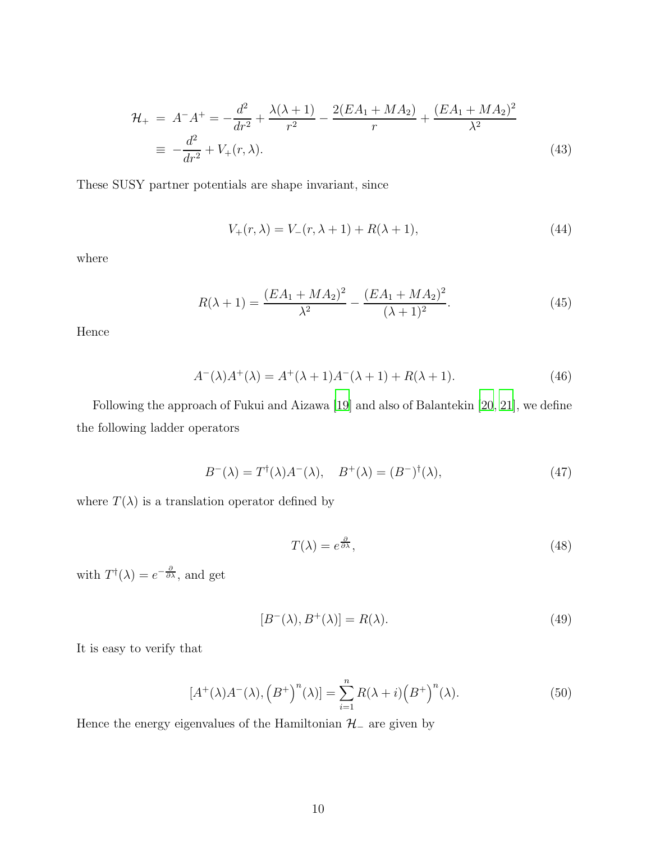$$
\mathcal{H}_{+} = A^{-}A^{+} = -\frac{d^{2}}{dr^{2}} + \frac{\lambda(\lambda + 1)}{r^{2}} - \frac{2(EA_{1} + MA_{2})}{r} + \frac{(EA_{1} + MA_{2})^{2}}{\lambda^{2}}
$$

$$
\equiv -\frac{d^{2}}{dr^{2}} + V_{+}(r, \lambda). \tag{43}
$$

These SUSY partner potentials are shape invariant, since

$$
V_{+}(r,\lambda) = V_{-}(r,\lambda+1) + R(\lambda+1),
$$
\n(44)

where

$$
R(\lambda + 1) = \frac{(EA_1 + MA_2)^2}{\lambda^2} - \frac{(EA_1 + MA_2)^2}{(\lambda + 1)^2}.
$$
 (45)

Hence

$$
A^{-}(\lambda)A^{+}(\lambda) = A^{+}(\lambda + 1)A^{-}(\lambda + 1) + R(\lambda + 1).
$$
 (46)

Following the approach of Fukui and Aizawa [\[19](#page-12-14)] and also of Balantekin [\[20](#page-12-15), [21](#page-12-16)], we define the following ladder operators

<span id="page-9-0"></span>
$$
B^{-}(\lambda) = T^{\dagger}(\lambda)A^{-}(\lambda), \quad B^{+}(\lambda) = (B^{-})^{\dagger}(\lambda), \tag{47}
$$

where  $T(\lambda)$  is a translation operator defined by

<span id="page-9-1"></span>
$$
T(\lambda) = e^{\frac{\partial}{\partial \lambda}},\tag{48}
$$

with  $T^{\dagger}(\lambda) = e^{-\frac{\partial}{\partial \lambda}},$  and get

$$
[B^{-}(\lambda), B^{+}(\lambda)] = R(\lambda). \tag{49}
$$

It is easy to verify that

$$
[A^+(\lambda)A^-(\lambda), (B^+)^n(\lambda)] = \sum_{i=1}^n R(\lambda + i) (B^+)^n(\lambda).
$$
 (50)

Hence the energy eigenvalues of the Hamiltonian  $\mathcal{H}_-$  are given by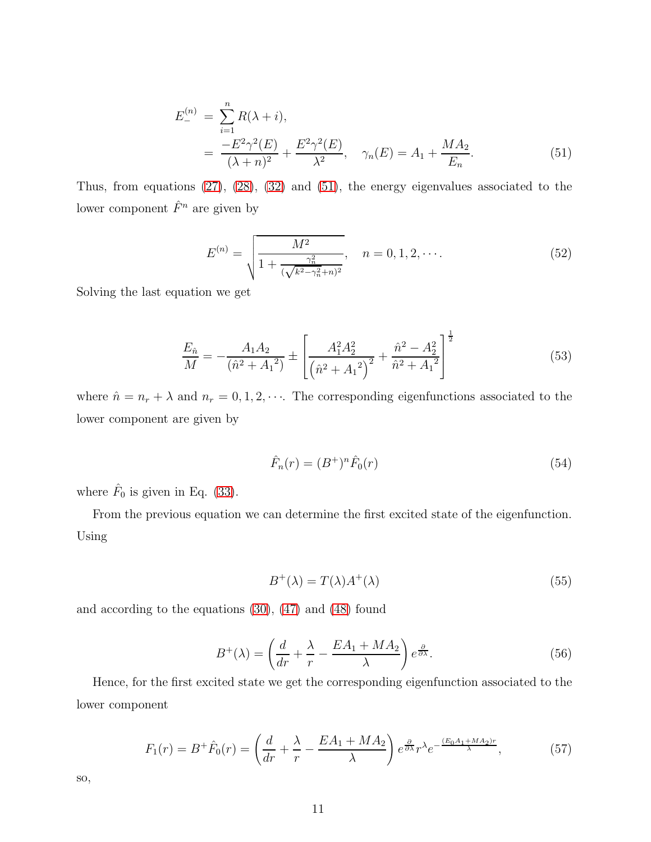<span id="page-10-0"></span>
$$
E_{-}^{(n)} = \sum_{i=1}^{n} R(\lambda + i),
$$
  
= 
$$
\frac{-E^2 \gamma^2(E)}{(\lambda + n)^2} + \frac{E^2 \gamma^2(E)}{\lambda^2}, \quad \gamma_n(E) = A_1 + \frac{MA_2}{E_n}.
$$
 (51)

Thus, from equations [\(27\)](#page-6-1), [\(28\)](#page-6-2), [\(32\)](#page-7-2) and [\(51\)](#page-10-0), the energy eigenvalues associated to the lower component  $\hat{F}^n$  are given by

$$
E^{(n)} = \sqrt{\frac{M^2}{1 + \frac{\gamma_n^2}{(\sqrt{k^2 - \gamma_n^2} + n)^2}}}, \quad n = 0, 1, 2, \cdots.
$$
 (52)

Solving the last equation we get

$$
\frac{E_{\hat{n}}}{M} = -\frac{A_1 A_2}{(\hat{n}^2 + A_1^2)} \pm \left[ \frac{A_1^2 A_2^2}{(\hat{n}^2 + A_1^2)^2} + \frac{\hat{n}^2 - A_2^2}{\hat{n}^2 + A_1^2} \right]^{\frac{1}{2}}
$$
(53)

where  $\hat{n} = n_r + \lambda$  and  $n_r = 0, 1, 2, \cdots$ . The corresponding eigenfunctions associated to the lower component are given by

$$
\hat{F}_n(r) = (B^+)^n \hat{F}_0(r) \tag{54}
$$

where  $\hat{F}_0$  is given in Eq. [\(33\)](#page-7-3).

From the previous equation we can determine the first excited state of the eigenfunction. Using

$$
B^{+}(\lambda) = T(\lambda)A^{+}(\lambda)
$$
\n(55)

and according to the equations [\(30\)](#page-6-3), [\(47\)](#page-9-0) and [\(48\)](#page-9-1) found

$$
B^{+}(\lambda) = \left(\frac{d}{dr} + \frac{\lambda}{r} - \frac{EA_1 + MA_2}{\lambda}\right) e^{\frac{\partial}{\partial \lambda}}.
$$
 (56)

Hence, for the first excited state we get the corresponding eigenfunction associated to the lower component

$$
F_1(r) = B^+ \hat{F}_0(r) = \left(\frac{d}{dr} + \frac{\lambda}{r} - \frac{EA_1 + MA_2}{\lambda}\right) e^{\frac{\partial}{\partial \lambda}} r^{\lambda} e^{-\frac{(E_0 A_1 + MA_2)r}{\lambda}},\tag{57}
$$

so,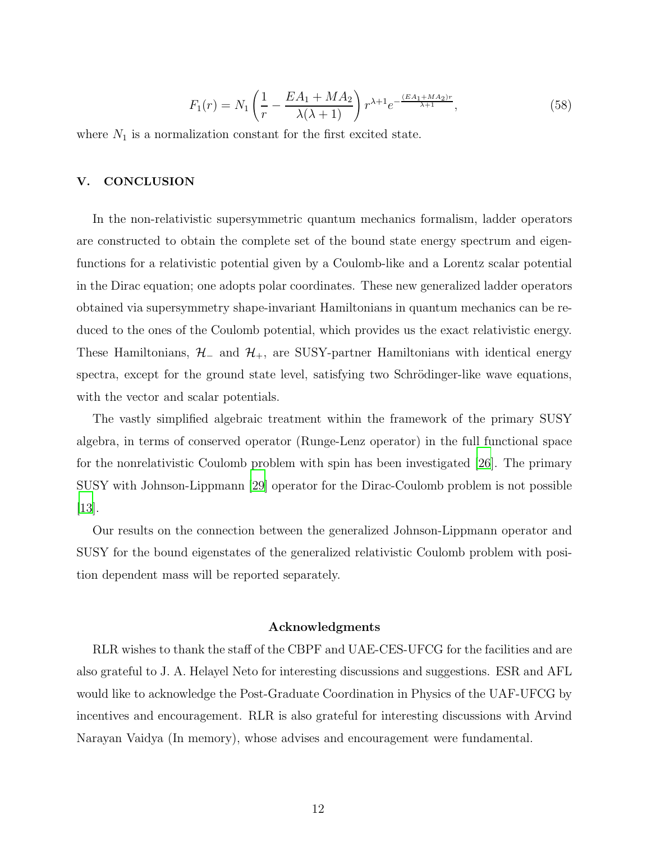$$
F_1(r) = N_1 \left(\frac{1}{r} - \frac{EA_1 + MA_2}{\lambda(\lambda + 1)}\right) r^{\lambda + 1} e^{-\frac{(EA_1 + MA_2)r}{\lambda + 1}},\tag{58}
$$

where  $N_1$  is a normalization constant for the first excited state.

# V. CONCLUSION

In the non-relativistic supersymmetric quantum mechanics formalism, ladder operators are constructed to obtain the complete set of the bound state energy spectrum and eigenfunctions for a relativistic potential given by a Coulomb-like and a Lorentz scalar potential in the Dirac equation; one adopts polar coordinates. These new generalized ladder operators obtained via supersymmetry shape-invariant Hamiltonians in quantum mechanics can be reduced to the ones of the Coulomb potential, which provides us the exact relativistic energy. These Hamiltonians,  $\mathcal{H}_-$  and  $\mathcal{H}_+$ , are SUSY-partner Hamiltonians with identical energy spectra, except for the ground state level, satisfying two Schrödinger-like wave equations, with the vector and scalar potentials.

The vastly simplified algebraic treatment within the framework of the primary SUSY algebra, in terms of conserved operator (Runge-Lenz operator) in the full functional space for the nonrelativistic Coulomb problem with spin has been investigated [\[26\]](#page-13-5). The primary SUSY with Johnson-Lippmann [\[29\]](#page-13-6) operator for the Dirac-Coulomb problem is not possible [\[13\]](#page-12-10).

Our results on the connection between the generalized Johnson-Lippmann operator and SUSY for the bound eigenstates of the generalized relativistic Coulomb problem with position dependent mass will be reported separately.

#### Acknowledgments

RLR wishes to thank the staff of the CBPF and UAE-CES-UFCG for the facilities and are also grateful to J. A. Helayel Neto for interesting discussions and suggestions. ESR and AFL would like to acknowledge the Post-Graduate Coordination in Physics of the UAF-UFCG by incentives and encouragement. RLR is also grateful for interesting discussions with Arvind Narayan Vaidya (In memory), whose advises and encouragement were fundamental.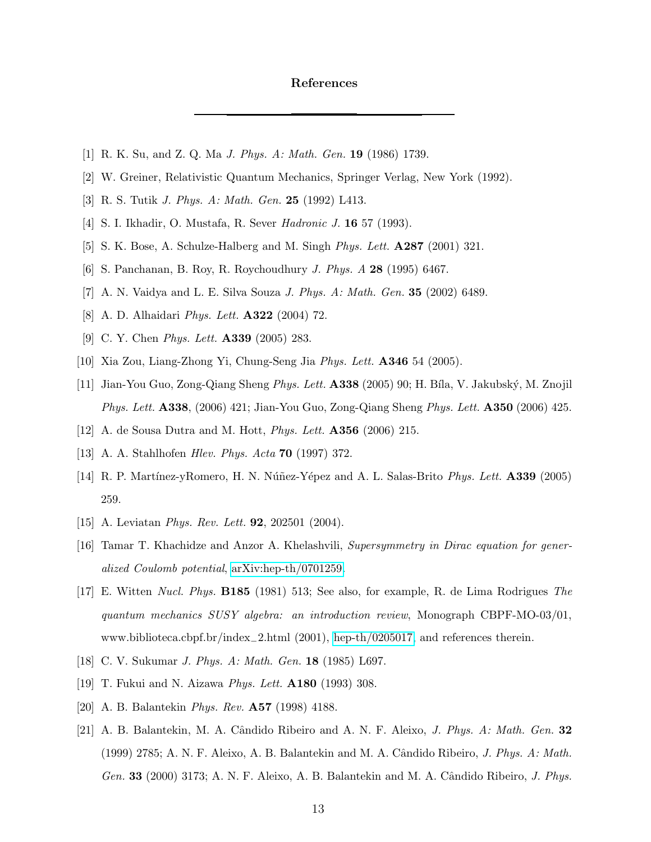## References

- <span id="page-12-1"></span><span id="page-12-0"></span>[1] R. K. Su, and Z. Q. Ma *J. Phys. A: Math. Gen.* 19 (1986) 1739.
- [2] W. Greiner, Relativistic Quantum Mechanics, Springer Verlag, New York (1992).
- [3] R. S. Tutik *J. Phys. A: Math. Gen.* 25 (1992) L413.
- <span id="page-12-2"></span>[4] S. I. Ikhadir, O. Mustafa, R. Sever *Hadronic J.* 16 57 (1993).
- <span id="page-12-3"></span>[5] S. K. Bose, A. Schulze-Halberg and M. Singh *Phys. Lett.* A287 (2001) 321.
- [6] S. Panchanan, B. Roy, R. Roychoudhury *J. Phys. A* 28 (1995) 6467.
- <span id="page-12-4"></span>[7] A. N. Vaidya and L. E. Silva Souza *J. Phys. A: Math. Gen.* 35 (2002) 6489.
- <span id="page-12-9"></span>[8] A. D. Alhaidari *Phys. Lett.* A322 (2004) 72.
- <span id="page-12-5"></span>[9] C. Y. Chen *Phys. Lett.* A339 (2005) 283.
- <span id="page-12-6"></span>[10] Xia Zou, Liang-Zhong Yi, Chung-Seng Jia *Phys. Lett.* A346 54 (2005).
- <span id="page-12-7"></span>[11] Jian-You Guo, Zong-Qiang Sheng *Phys. Lett.* A338 (2005) 90; H. B´ıla, V. Jakubsk´y, M. Znojil *Phys. Lett.* A338, (2006) 421; Jian-You Guo, Zong-Qiang Sheng *Phys. Lett.* A350 (2006) 425.
- <span id="page-12-10"></span><span id="page-12-8"></span>[12] A. de Sousa Dutra and M. Hott, *Phys. Lett.* A356 (2006) 215.
- <span id="page-12-11"></span>[13] A. A. Stahlhofen *Hlev. Phys. Acta* 70 (1997) 372.
- [14] R. P. Martínez-yRomero, H. N. Núñez-Yépez and A. L. Salas-Brito *Phys. Lett.* **A339** (2005) 259.
- <span id="page-12-12"></span>[15] A. Leviatan *Phys. Rev. Lett.* 92, 202501 (2004).
- <span id="page-12-13"></span>[16] Tamar T. Khachidze and Anzor A. Khelashvili, *Supersymmetry in Dirac equation for generalized Coulomb potential*, [arXiv:hep-th/0701259.](http://arxiv.org/abs/hep-th/0701259)
- <span id="page-12-17"></span>[17] E. Witten *Nucl. Phys.* B185 (1981) 513; See also, for example, R. de Lima Rodrigues *The quantum mechanics SUSY algebra: an introduction review*, Monograph CBPF-MO-03/01, www.biblioteca.cbpf.br/index−2.html (2001), [hep-th/0205017,](http://arxiv.org/abs/hep-th/0205017) and references therein.
- [18] C. V. Sukumar *J. Phys. A: Math. Gen.* 18 (1985) L697.
- <span id="page-12-14"></span>[19] T. Fukui and N. Aizawa *Phys. Lett.* A180 (1993) 308.
- <span id="page-12-15"></span>[20] A. B. Balantekin *Phys. Rev.* A57 (1998) 4188.
- <span id="page-12-16"></span>[21] A. B. Balantekin, M. A. Cˆandido Ribeiro and A. N. F. Aleixo, *J. Phys. A: Math. Gen.* 32 (1999) 2785; A. N. F. Aleixo, A. B. Balantekin and M. A. Cˆandido Ribeiro, *J. Phys. A: Math. Gen.* **33** (2000) 3173; A. N. F. Aleixo, A. B. Balantekin and M. A. Cândido Ribeiro, *J. Phys.*